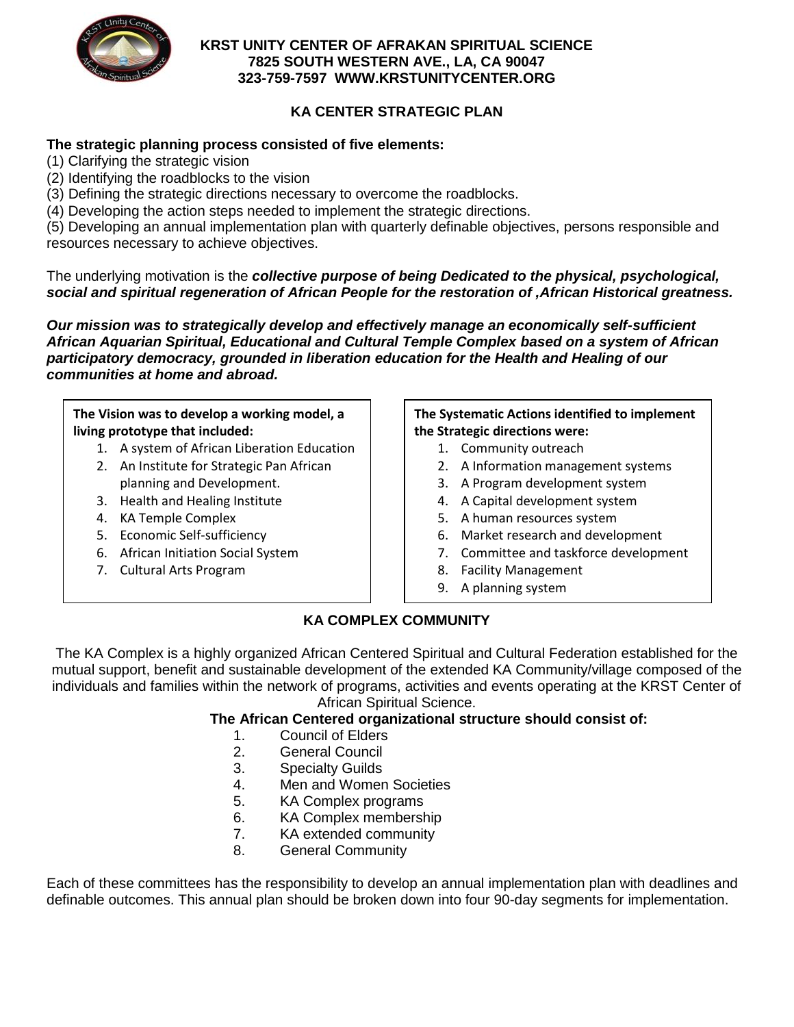

### **KRST UNITY CENTER OF AFRAKAN SPIRITUAL SCIENCE 7825 SOUTH WESTERN AVE., LA, CA 90047 323-759-7597 WWW.KRSTUNITYCENTER.ORG**

# **KA CENTER STRATEGIC PLAN**

# **The strategic planning process consisted of five elements:**

- (1) Clarifying the strategic vision
- (2) Identifying the roadblocks to the vision
- (3) Defining the strategic directions necessary to overcome the roadblocks.
- (4) Developing the action steps needed to implement the strategic directions.

(5) Developing an annual implementation plan with quarterly definable objectives, persons responsible and resources necessary to achieve objectives.

The underlying motivation is the *collective purpose of being Dedicated to the physical, psychological, social and spiritual regeneration of African People for the restoration of ,African Historical greatness.*

*Our mission was to strategically develop and effectively manage an economically self-sufficient African Aquarian Spiritual, Educational and Cultural Temple Complex based on a system of African participatory democracy, grounded in liberation education for the Health and Healing of our communities at home and abroad.*

## **The Vision was to develop a working model, a living prototype that included:**

- 1. A system of African Liberation Education
- 2. An Institute for Strategic Pan African planning and Development.
- 3. Health and Healing Institute
- 4. KA Temple Complex
- 5. Economic Self-sufficiency
- 6. African Initiation Social System
- 7. Cultural Arts Program

#### **The Systematic Actions identified to implement the Strategic directions were:**

- 1. Community outreach
- 2. A Information management systems
- 3. A Program development system
- 4. A Capital development system
- 5. A human resources system
- 6. Market research and development
- 7. Committee and taskforce development
- 8. Facility Management
- 9. A planning system

# **KA COMPLEX COMMUNITY**

The KA Complex is a highly organized African Centered Spiritual and Cultural Federation established for the mutual support, benefit and sustainable development of the extended KA Community/village composed of the individuals and families within the network of programs, activities and events operating at the KRST Center of African Spiritual Science.

#### **The African Centered organizational structure should consist of:**

- 1. Council of Elders
- 2. General Council
- 3. Specialty Guilds
- 4. Men and Women Societies
- 5. KA Complex programs
- 6. KA Complex membership
- 7. KA extended community
- 8. General Community

Each of these committees has the responsibility to develop an annual implementation plan with deadlines and definable outcomes. This annual plan should be broken down into four 90-day segments for implementation.